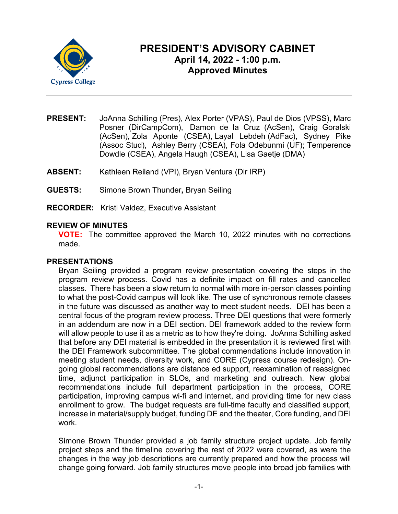

# **PRESIDENT'S ADVISORY CABINET April 14, 2022 - 1:00 p.m. Approved Minutes**

- **PRESENT:** JoAnna Schilling (Pres), Alex Porter (VPAS), Paul de Dios (VPSS), Marc Posner (DirCampCom), Damon de la Cruz (AcSen), Craig Goralski (AcSen), Zola Aponte (CSEA), Layal Lebdeh (AdFac), Sydney Pike (Assoc Stud), Ashley Berry (CSEA), Fola Odebunmi (UF); Temperence Dowdle (CSEA), Angela Haugh (CSEA), Lisa Gaetje (DMA)
- **ABSENT:** Kathleen Reiland (VPI), Bryan Ventura (Dir IRP)
- **GUESTS:** Simone Brown Thunder**,** Bryan Seiling
- **RECORDER:** Kristi Valdez, Executive Assistant

#### **REVIEW OF MINUTES**

**VOTE:** The committee approved the March 10, 2022 minutes with no corrections made.

#### **PRESENTATIONS**

Bryan Seiling provided a program review presentation covering the steps in the program review process. Covid has a definite impact on fill rates and cancelled classes. There has been a slow return to normal with more in-person classes pointing to what the post-Covid campus will look like. The use of synchronous remote classes in the future was discussed as another way to meet student needs. DEI has been a central focus of the program review process. Three DEI questions that were formerly in an addendum are now in a DEI section. DEI framework added to the review form will allow people to use it as a metric as to how they're doing. JoAnna Schilling asked that before any DEI material is embedded in the presentation it is reviewed first with the DEI Framework subcommittee. The global commendations include innovation in meeting student needs, diversity work, and CORE (Cypress course redesign). Ongoing global recommendations are distance ed support, reexamination of reassigned time, adjunct participation in SLOs, and marketing and outreach. New global recommendations include full department participation in the process, CORE participation, improving campus wi-fi and internet, and providing time for new class enrollment to grow. The budget requests are full-time faculty and classified support, increase in material/supply budget, funding DE and the theater, Core funding, and DEI work.

Simone Brown Thunder provided a job family structure project update. Job family project steps and the timeline covering the rest of 2022 were covered, as were the changes in the way job descriptions are currently prepared and how the process will change going forward. Job family structures move people into broad job families with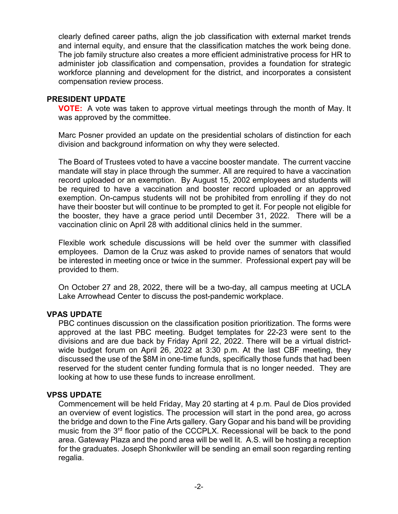clearly defined career paths, align the job classification with external market trends and internal equity, and ensure that the classification matches the work being done. The job family structure also creates a more efficient administrative process for HR to administer job classification and compensation, provides a foundation for strategic workforce planning and development for the district, and incorporates a consistent compensation review process.

#### **PRESIDENT UPDATE**

**VOTE:** A vote was taken to approve virtual meetings through the month of May. It was approved by the committee.

Marc Posner provided an update on the presidential scholars of distinction for each division and background information on why they were selected.

The Board of Trustees voted to have a vaccine booster mandate. The current vaccine mandate will stay in place through the summer. All are required to have a vaccination record uploaded or an exemption. By August 15, 2002 employees and students will be required to have a vaccination and booster record uploaded or an approved exemption. On-campus students will not be prohibited from enrolling if they do not have their booster but will continue to be prompted to get it. For people not eligible for the booster, they have a grace period until December 31, 2022. There will be a vaccination clinic on April 28 with additional clinics held in the summer.

Flexible work schedule discussions will be held over the summer with classified employees. Damon de la Cruz was asked to provide names of senators that would be interested in meeting once or twice in the summer. Professional expert pay will be provided to them.

On October 27 and 28, 2022, there will be a two-day, all campus meeting at UCLA Lake Arrowhead Center to discuss the post-pandemic workplace.

# **VPAS UPDATE**

PBC continues discussion on the classification position prioritization. The forms were approved at the last PBC meeting. Budget templates for 22-23 were sent to the divisions and are due back by Friday April 22, 2022. There will be a virtual districtwide budget forum on April 26, 2022 at 3:30 p.m. At the last CBF meeting, they discussed the use of the \$8M in one-time funds, specifically those funds that had been reserved for the student center funding formula that is no longer needed. They are looking at how to use these funds to increase enrollment.

# **VPSS UPDATE**

Commencement will be held Friday, May 20 starting at 4 p.m. Paul de Dios provided an overview of event logistics. The procession will start in the pond area, go across the bridge and down to the Fine Arts gallery. Gary Gopar and his band will be providing music from the 3rd floor patio of the CCCPLX. Recessional will be back to the pond area. Gateway Plaza and the pond area will be well lit. A.S. will be hosting a reception for the graduates. Joseph Shonkwiler will be sending an email soon regarding renting regalia.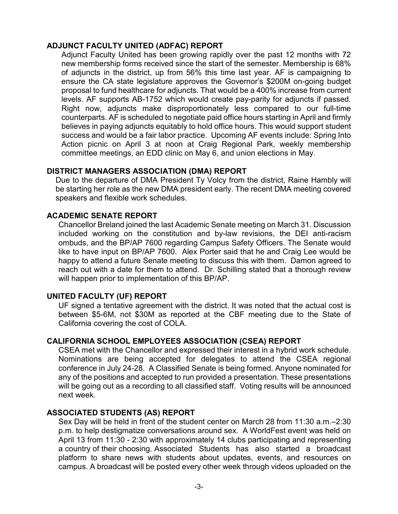# **ADJUNCT FACULTY UNITED (ADFAC) REPORT**

Adjunct Faculty United has been growing rapidly over the past 12 months with 72 new membership forms received since the start of the semester. Membership is 68% of adjuncts in the district, up from 56% this time last year. AF is campaigning to ensure the CA state legislature approves the Governor's \$200M on-going budget proposal to fund healthcare for adjuncts. That would be a 400% increase from current levels. AF supports AB-1752 which would create pay-parity for adjuncts if passed. Right now, adjuncts make disproportionately less compared to our full-time counterparts. AF is scheduled to negotiate paid office hours starting in April and firmly believes in paying adjuncts equitably to hold office hours. This would support student success and would be a fair labor practice. Upcoming AF events include: Spring Into Action picnic on April 3 at noon at Craig Regional Park, weekly membership committee meetings, an EDD clinic on May 6, and union elections in May.

# **DISTRICT MANAGERS ASSOCIATION (DMA) REPORT**

Due to the departure of DMA President Ty Volcy from the district, Raine Hambly will be starting her role as the new DMA president early. The recent DMA meeting covered speakers and flexible work schedules.

# **ACADEMIC SENATE REPORT**

Chancellor Breland joined the last Academic Senate meeting on March 31. Discussion included working on the constitution and by-law revisions, the DEI anti-racism ombuds, and the BP/AP 7600 regarding Campus Safety Officers. The Senate would like to have input on BP/AP 7600. Alex Porter said that he and Craig Lee would be happy to attend a future Senate meeting to discuss this with them. Damon agreed to reach out with a date for them to attend. Dr. Schilling stated that a thorough review will happen prior to implementation of this BP/AP.

# **UNITED FACULTY (UF) REPORT**

UF signed a tentative agreement with the district. It was noted that the actual cost is between \$5-6M, not \$30M as reported at the CBF meeting due to the State of California covering the cost of COLA.

# **CALIFORNIA SCHOOL EMPLOYEES ASSOCIATION (CSEA) REPORT**

CSEA met with the Chancellor and expressed their interest in a hybrid work schedule. Nominations are being accepted for delegates to attend the CSEA regional conference in July 24-28. A Classified Senate is being formed. Anyone nominated for any of the positions and accepted to run provided a presentation. These presentations will be going out as a recording to all classified staff. Voting results will be announced next week.

# **ASSOCIATED STUDENTS (AS) REPORT**

Sex Day will be held in front of the student center on March 28 from 11:30 a.m.–2:30 p.m. to help destigmatize conversations around sex. A WorldFest event was held on April 13 from 11:30 - 2:30 with approximately 14 clubs participating and representing a country of their choosing. Associated Students has also started a broadcast platform to share news with students about updates, events, and resources on campus. A broadcast will be posted every other week through videos uploaded on the